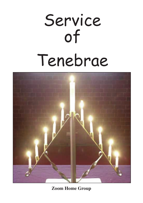# Service of Tenebrae



**Zoom Home Group**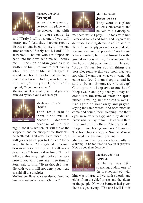

## Matthew 26: 20-25 **Betrayal**

When it was evening, he took his place with the twelve; and while they were eating, he

said,"Truly I tell you, one of you will betray me." And they became greatly distressed and began to say to him one after another, "Surely not I, Lord?" He answered, "The one who has dipped his hand into the bowl with me will betray me. The Son of Man goes as it is written of him, but woe to that one by whom the Son of Man is betrayed! It would have been better for that one not to have been born." Judas, who betrayed him, said, "Surely not I, Rabbi?" He replied, "You have said so."

**Meditation:** How would you feel if you were betrayed by those you lived amongst?



#### Matthew 26: 31-35 **Denial**

Then Jesus said to them, "You will all become deserters because of me this

night; for it is written, 'I will strike the shepherd, and the sheep of the flock will be scattered.' But after I am raised up, I will go ahead of you to Galilee." Peter said to him, "Though all become deserters because of you, I will never desert you." Jesus said to him, "Truly I tell you, this very night, before the cock crows, you will deny me three times." Peter said to him, "Even though I must die with you, I will not deny you." And so said all the disciples.

**Meditation:** Have you ever denied Jesus and been ashamed to be called a Christian?



## Mark 14: 32-41 **Jesus prays**

They went to a place called Gethsemane; and he said to his disciples,

"Sit here while I pray." He took with him Peter and James and John, and began to be distressed and agitated. And he said to them, "I am deeply grieved, even to death; remain here, and keep awake." And going a little farther, he threw himself on the ground and prayed that, if it were possible, the hour might pass from him. He said, "Abba, Father, for you all things are possible; remove this cup from me; yet, not what I want, but what you want." He came and found them sleeping; and he said to Peter, "Simon, are you asleep? Could you not keep awake one hour? Keep awake and pray that you may not come into the time of trial; the spirit indeed is willing, but the flesh is weak." And again he went away and prayed, saying the same words. And once more he came and found them sleeping, for their eyes were very heavy; and they did not know what to say to him. He came a third time and said to them, "Are you still sleeping and taking your rest? Enough! The hour has come; the Son of Man is betrayed into the hands of sinners.

**Meditation:** Have you ever been guilty of claiming to be too tired to say your prayers. How do you think Jesus felt?



#### Matthew 26:47-52 **Arrest**

While he was still speaking, Judas, one of the twelve, arrived; with

him was a large crowd with swords and clubs, from the chief priests and the elders of the people. Now the betrayer had given them a sign, saying, "The one I will kiss is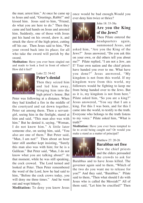the man; arrest him." At once he came up to Jesus and said, "Greetings, Rabbi!" and kissed him. Jesus said to him, "Friend, do what you are here to do." Then they came and laid hands on Jesus and arrested him. Suddenly, one of those with Jesus put his hand on his sword, drew it, and struck the slave of the high priest, cutting off his ear. Then Jesus said to him, "Put your sword back into its place; for all who take the sword will perish by the sword.

**Meditation:** Have you ever been singled out and made to look a fool in front of others? How did it feel?



#### Luke 22: 54-62 **Peter's denial**

Then they seized him and led him away, bringing him into the high priest's house. But

Peter was following at a distance. When they had kindled a fire in the middle of the courtyard and sat down together, Peter sat among them. Then a servantgirl, seeing him in the firelight, stared at him and said, "This man also was with him." But he denied it, saying, "Woman, I do not know him." A little later someone else, on seeing him, said, "You also are one of them." But Peter said "Man, I am not!" Then about an hour later still another kept insisting, "Surely this man also was with him; for he is a Galilean." But Peter said, "Man, I do not know what you are talking about!" At that moment, while he was still speaking, the cock crowed. The Lord turned and looked at Peter. Then Peter remembered the word of the Lord, how he had said to him, "Before the cock crows today, you will deny me three times." And he went out and wept bitterly.

**Meditation:** To deny you know Jesus

once would be bad enough.Would you ever deny him twice or thrice?



### John 18: 33-38a **Are you the King of the Jews?**

Then Pilate entered the headquarters again. summoned Jesus, and

asked him, "Are you the King of the Jews?" Jesus answered, "Do you ask this on your own, or did others tell you about me?" Pilate replied, "I am not a Jew, am I? Your own nation and the chief priests have handed you over to me. What have you done?" Jesus answered, "My kingdom is not from this world. If my kingdom were from this world, my followers would be fighting to keep me from being handed over to the Jews. But as it is, my kingdom is not from here." Pilate asked him, "So you are a king?" Jesus answered, "You say that I am a king. For this I was born, and for this I came into the world, to testify to the truth. Everyone who belongs to the truth listens to my voice." Pilate asked him, "What is truth?"

**Meditation:** Have you ever been tempted to lie to avoid being caught out? Or would you make a stand as a matter of principal?



#### Matthew 27: 20-26 **Barabbas set free**

Now the chief priests and the elders persuaded the crowds to ask for

Barabbas and to have Jesus killed. The governor again said to them, "Which of the two do you want me to release for you?" And they said, "Barabbas." Pilate said to them, "Then what should I do with Jesus who is called the Messiah?" All of them said, "Let him be crucified!" Then